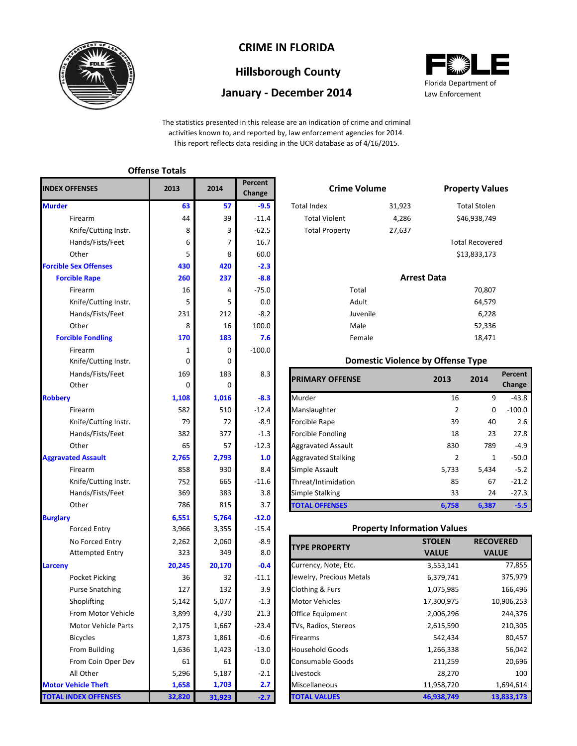

# **CRIME IN FLORIDA**

# **Hillsborough County**

### **January - December 2014**



The statistics presented in this release are an indication of crime and criminal activities known to, and reported by, law enforcement agencies for 2014. This report reflects data residing in the UCR database as of 4/16/2015.

|                              | <b>Offense Totals</b> |        |                   |                                     |                                          |                    |                      |
|------------------------------|-----------------------|--------|-------------------|-------------------------------------|------------------------------------------|--------------------|----------------------|
| <b>INDEX OFFENSES</b>        | 2013                  | 2014   | Percent<br>Change | <b>Crime Volume</b>                 |                                          |                    | <b>Property Val</b>  |
| <b>Murder</b>                | 63                    | 57     | $-9.5$            | <b>Total Index</b>                  | 31,923                                   |                    | <b>Total Stolen</b>  |
| Firearm                      | 44                    | 39     | $-11.4$           | <b>Total Violent</b>                | 4,286                                    |                    | \$46,938,749         |
| Knife/Cutting Instr.         | 8                     | 3      | $-62.5$           | <b>Total Property</b>               | 27,637                                   |                    |                      |
| Hands/Fists/Feet             | 6                     | 7      | 16.7              |                                     |                                          |                    | <b>Total Recover</b> |
| Other                        | 5                     | 8      | 60.0              |                                     |                                          |                    | \$13,833,173         |
| <b>Forcible Sex Offenses</b> | 430                   | 420    | $-2.3$            |                                     |                                          |                    |                      |
| <b>Forcible Rape</b>         | 260                   | 237    | $-8.8$            |                                     |                                          | <b>Arrest Data</b> |                      |
| Firearm                      | 16                    | 4      | $-75.0$           | Total                               |                                          |                    | 70,807               |
| Knife/Cutting Instr.         | 5                     | 5      | 0.0               | Adult                               |                                          |                    | 64,579               |
| Hands/Fists/Feet             | 231                   | 212    | $-8.2$            | Juvenile                            |                                          |                    | 6,228                |
| Other                        | 8                     | 16     | 100.0             | Male                                |                                          |                    | 52,336               |
| <b>Forcible Fondling</b>     | 170                   | 183    | 7.6               | Female                              |                                          |                    | 18,471               |
| Firearm                      | 1                     | 0      | $-100.0$          |                                     |                                          |                    |                      |
| Knife/Cutting Instr.         | 0                     | 0      |                   |                                     | <b>Domestic Violence by Offense Type</b> |                    |                      |
| Hands/Fists/Feet             | 169                   | 183    | 8.3               |                                     |                                          |                    |                      |
| Other                        | $\mathbf 0$           | 0      |                   | <b>PRIMARY OFFENSE</b>              |                                          | 2013               | 2014                 |
| <b>Robbery</b>               | 1,108                 | 1,016  | $-8.3$            | Murder                              |                                          | 16                 | S                    |
| Firearm                      | 582                   | 510    | $-12.4$           | Manslaughter                        |                                          | $\overline{2}$     |                      |
| Knife/Cutting Instr.         | 79                    | 72     | $-8.9$            | Forcible Rape                       |                                          | 39                 | 40                   |
| Hands/Fists/Feet             | 382                   | 377    | $-1.3$            | <b>Forcible Fondling</b>            |                                          | 18                 | 23                   |
| Other                        | 65                    | 57     | $-12.3$           | <b>Aggravated Assault</b>           |                                          | 830                | 789                  |
| <b>Aggravated Assault</b>    | 2,765                 | 2,793  | 1.0               | <b>Aggravated Stalking</b>          |                                          | $\overline{2}$     |                      |
| Firearm                      | 858                   | 930    | 8.4               | Simple Assault                      |                                          | 5,733              | 5,434                |
| Knife/Cutting Instr.         | 752                   | 665    | $-11.6$           | Threat/Intimidation                 |                                          | 85                 | 67                   |
| Hands/Fists/Feet             | 369                   | 383    | 3.8               | Simple Stalking                     |                                          | 33                 | 24                   |
| Other                        | 786                   | 815    | 3.7               | <b>TOTAL OFFENSES</b>               |                                          | 6,758              | 6,387                |
| <b>Burglary</b>              | 6,551                 | 5,764  | $-12.0$           |                                     |                                          |                    |                      |
| <b>Forced Entry</b>          | 3,966                 | 3,355  | $-15.4$           |                                     | <b>Property Information Values</b>       |                    |                      |
| No Forced Entry              | 2,262                 | 2,060  | $-8.9$            |                                     |                                          | <b>STOLEN</b>      | <b>RECO</b>          |
| <b>Attempted Entry</b>       | 323                   | 349    | 8.0               | <b>TYPE PROPERTY</b>                |                                          | <b>VALUE</b>       | <b>VA</b>            |
| Larceny                      | 20,245                | 20,170 | $-0.4$            | Currency, Note, Etc.                |                                          | 3,553,141          |                      |
| Pocket Picking               | 36                    | 32     | $-11.1$           | Jewelry, Precious Metals            |                                          | 6,379,741          |                      |
| <b>Purse Snatching</b>       | 127                   | 132    | 3.9               | Clothing & Furs                     |                                          | 1,075,985          |                      |
| Shoplifting                  | 5,142                 | 5,077  | $-1.3$            | <b>Motor Vehicles</b>               |                                          | 17,300,975         |                      |
| From Motor Vehicle           | 3,899                 | 4,730  | 21.3              | Office Equipment                    |                                          | 2,006,296          |                      |
| <b>Motor Vehicle Parts</b>   | 2,175                 | 1,667  | $-23.4$           | TVs, Radios, Stereos<br>2,615,590   |                                          |                    |                      |
| <b>Bicycles</b>              | 1,873                 | 1,861  | $-0.6$            | 542,434<br>Firearms                 |                                          |                    |                      |
| From Building                | 1,636                 | 1,423  | $-13.0$           | <b>Household Goods</b><br>1,266,338 |                                          |                    |                      |
| From Coin Oper Dev           | 61                    | 61     | 0.0               | Consumable Goods<br>211,259         |                                          |                    |                      |
| All Other                    | 5,296                 | 5,187  | $-2.1$            | Livestock                           |                                          | 28,270             |                      |
| <b>Motor Vehicle Theft</b>   | 1,658                 | 1,703  | 2.7               | Miscellaneous                       |                                          | 11,958,720         |                      |
| <b>TOTAL INDEX OFFENSES</b>  | 32,820                | 31,923 | $-2.7$            | <b>TOTAL VALUES</b><br>46,938,749   |                                          | $\mathbf{1}$       |                      |

|                | Percent<br>Change |                       | <b>Crime Volume</b> |                        |  |  |  |
|----------------|-------------------|-----------------------|---------------------|------------------------|--|--|--|
| 57             | $-9.5$            | Total Index           | 31,923              | <b>Total Stolen</b>    |  |  |  |
| 39             | $-11.4$           | <b>Total Violent</b>  | 4,286               | \$46,938,749           |  |  |  |
| 3              | $-62.5$           | <b>Total Property</b> | 27,637              |                        |  |  |  |
| $\overline{7}$ | 16.7              |                       |                     | <b>Total Recovered</b> |  |  |  |
| 8              | 60.0              |                       |                     | \$13,833,173           |  |  |  |
| 20             | $-2.3$            |                       |                     |                        |  |  |  |
| 37             | $-8.8$            |                       | <b>Arrest Data</b>  |                        |  |  |  |

#### **183 7.6 18,471 18,471** Juvenile Male Female Total Adult

#### **Domestic Violence by Offense Type**

| Hands/Fists/Feet     | 169   | 183      | 8.3     | <b>PRIMARY OFFENSE</b>     | 2013  | 2014         | Percent  |
|----------------------|-------|----------|---------|----------------------------|-------|--------------|----------|
| Other                | 0     | $\Omega$ |         |                            |       |              | Change   |
|                      | 1,108 | 1,016    | $-8.3$  | Murder                     | 16    | 9            | $-43.8$  |
| Firearm              | 582   | 510      | $-12.4$ | Manslaughter               | 2     | 0            | $-100.0$ |
| Knife/Cutting Instr. | 79    | 72       | $-8.9$  | Forcible Rape              | 39    | 40           | 2.6      |
| Hands/Fists/Feet     | 382   | 377      | $-1.3$  | <b>Forcible Fondling</b>   | 18    | 23           | 27.8     |
| Other                | 65    | 57       | $-12.3$ | <b>Aggravated Assault</b>  | 830   | 789          | $-4.9$   |
| ted Assault          | 2,765 | 2,793    | 1.0     | <b>Aggravated Stalking</b> | 2     | $\mathbf{1}$ | $-50.0$  |
| Firearm              | 858   | 930      | 8.4     | Simple Assault             | 5,733 | 5,434        | $-5.2$   |
| Knife/Cutting Instr. | 752   | 665      | $-11.6$ | Threat/Intimidation        | 85    | 67           | $-21.2$  |
| Hands/Fists/Feet     | 369   | 383      | 3.8     | Simple Stalking            | 33    | 24           | $-27.3$  |
| Other                | 786   | 815      | 3.7     | <b>TOTAL OFFENSES</b>      | 6.758 | 6,387        | $-5.5$   |

#### **Property Information Values**

| <b>TYPE PROPERTY</b>     | <b>STOLEN</b> | <b>RECOVERED</b> |
|--------------------------|---------------|------------------|
|                          | <b>VALUE</b>  | <b>VALUE</b>     |
| Currency, Note, Etc.     | 3,553,141     | 77,855           |
| Jewelry, Precious Metals | 6,379,741     | 375,979          |
| Clothing & Furs          | 1,075,985     | 166,496          |
| <b>Motor Vehicles</b>    | 17,300,975    | 10,906,253       |
| Office Equipment         | 2,006,296     | 244,376          |
| TVs, Radios, Stereos     | 2,615,590     | 210,305          |
| Firearms                 | 542,434       | 80,457           |
| <b>Household Goods</b>   | 1,266,338     | 56,042           |
| <b>Consumable Goods</b>  | 211,259       | 20,696           |
| Livestock                | 28,270        | 100              |
| Miscellaneous            | 11,958,720    | 1,694,614        |
| <b>TOTAL VALUES</b>      | 46,938,749    | 13,833,173       |